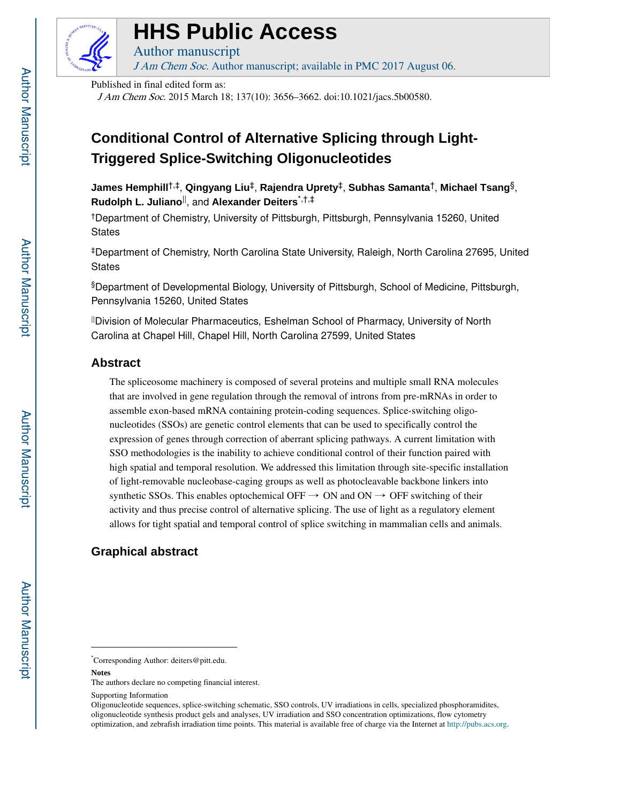

# **HHS Public Access**

Author manuscript J Am Chem Soc. Author manuscript; available in PMC 2017 August 06.

Published in final edited form as:

J Am Chem Soc. 2015 March 18; 137(10): 3656–3662. doi:10.1021/jacs.5b00580.

## **Conditional Control of Alternative Splicing through Light-Triggered Splice-Switching Oligonucleotides**

**James Hemphill**†,‡, **Qingyang Liu**‡, **Rajendra Uprety**‡, **Subhas Samanta**†, **Michael Tsang**§, **Rudolph L. Juliano**||, and **Alexander Deiters**\*,†,‡

†Department of Chemistry, University of Pittsburgh, Pittsburgh, Pennsylvania 15260, United **States** 

‡Department of Chemistry, North Carolina State University, Raleigh, North Carolina 27695, United **States** 

§Department of Developmental Biology, University of Pittsburgh, School of Medicine, Pittsburgh, Pennsylvania 15260, United States

||Division of Molecular Pharmaceutics, Eshelman School of Pharmacy, University of North Carolina at Chapel Hill, Chapel Hill, North Carolina 27599, United States

## **Abstract**

The spliceosome machinery is composed of several proteins and multiple small RNA molecules that are involved in gene regulation through the removal of introns from pre-mRNAs in order to assemble exon-based mRNA containing protein-coding sequences. Splice-switching oligonucleotides (SSOs) are genetic control elements that can be used to specifically control the expression of genes through correction of aberrant splicing pathways. A current limitation with SSO methodologies is the inability to achieve conditional control of their function paired with high spatial and temporal resolution. We addressed this limitation through site-specific installation of light-removable nucleobase-caging groups as well as photocleavable backbone linkers into synthetic SSOs. This enables optochemical OFF  $\rightarrow$  ON and ON  $\rightarrow$  OFF switching of their activity and thus precise control of alternative splicing. The use of light as a regulatory element allows for tight spatial and temporal control of splice switching in mammalian cells and animals.

## **Graphical abstract**

Supporting Information

<sup>\*</sup>Corresponding Author: deiters@pitt.edu.

**Notes**

The authors declare no competing financial interest.

Oligonucleotide sequences, splice-switching schematic, SSO controls, UV irradiations in cells, specialized phosphoramidites, oligonucleotide synthesis product gels and analyses, UV irradiation and SSO concentration optimizations, flow cytometry optimization, and zebrafish irradiation time points. This material is available free of charge via the Internet at http://pubs.acs.org.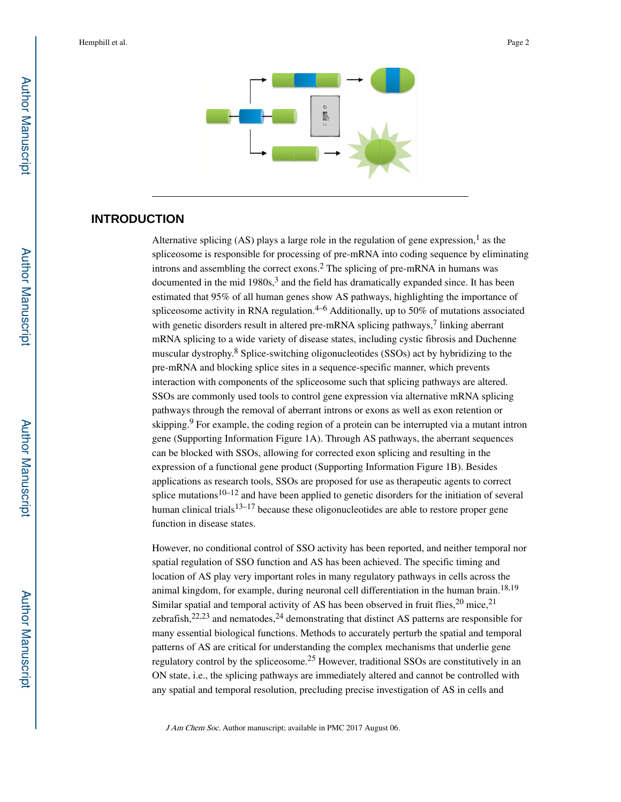

## **INTRODUCTION**

Alternative splicing (AS) plays a large role in the regulation of gene expression,<sup>1</sup> as the spliceosome is responsible for processing of pre-mRNA into coding sequence by eliminating introns and assembling the correct exons.<sup>2</sup> The splicing of pre-mRNA in humans was documented in the mid 1980s,<sup>3</sup> and the field has dramatically expanded since. It has been estimated that 95% of all human genes show AS pathways, highlighting the importance of spliceosome activity in RNA regulation.<sup>4–6</sup> Additionally, up to 50% of mutations associated with genetic disorders result in altered pre-mRNA splicing pathways,<sup>7</sup> linking aberrant mRNA splicing to a wide variety of disease states, including cystic fibrosis and Duchenne muscular dystrophy.<sup>8</sup> Splice-switching oligonucleotides (SSOs) act by hybridizing to the pre-mRNA and blocking splice sites in a sequence-specific manner, which prevents interaction with components of the spliceosome such that splicing pathways are altered. SSOs are commonly used tools to control gene expression via alternative mRNA splicing pathways through the removal of aberrant introns or exons as well as exon retention or skipping.<sup>9</sup> For example, the coding region of a protein can be interrupted via a mutant intron gene (Supporting Information Figure 1A). Through AS pathways, the aberrant sequences can be blocked with SSOs, allowing for corrected exon splicing and resulting in the expression of a functional gene product (Supporting Information Figure 1B). Besides applications as research tools, SSOs are proposed for use as therapeutic agents to correct splice mutations<sup>10–12</sup> and have been applied to genetic disorders for the initiation of several human clinical trials $13-17$  because these oligonucleotides are able to restore proper gene function in disease states.

However, no conditional control of SSO activity has been reported, and neither temporal nor spatial regulation of SSO function and AS has been achieved. The specific timing and location of AS play very important roles in many regulatory pathways in cells across the animal kingdom, for example, during neuronal cell differentiation in the human brain.<sup>18,19</sup> Similar spatial and temporal activity of AS has been observed in fruit flies,  $20$  mice,  $21$ zebrafish,  $22,23$  and nematodes,  $24$  demonstrating that distinct AS patterns are responsible for many essential biological functions. Methods to accurately perturb the spatial and temporal patterns of AS are critical for understanding the complex mechanisms that underlie gene regulatory control by the spliceosome.25 However, traditional SSOs are constitutively in an ON state, i.e., the splicing pathways are immediately altered and cannot be controlled with any spatial and temporal resolution, precluding precise investigation of AS in cells and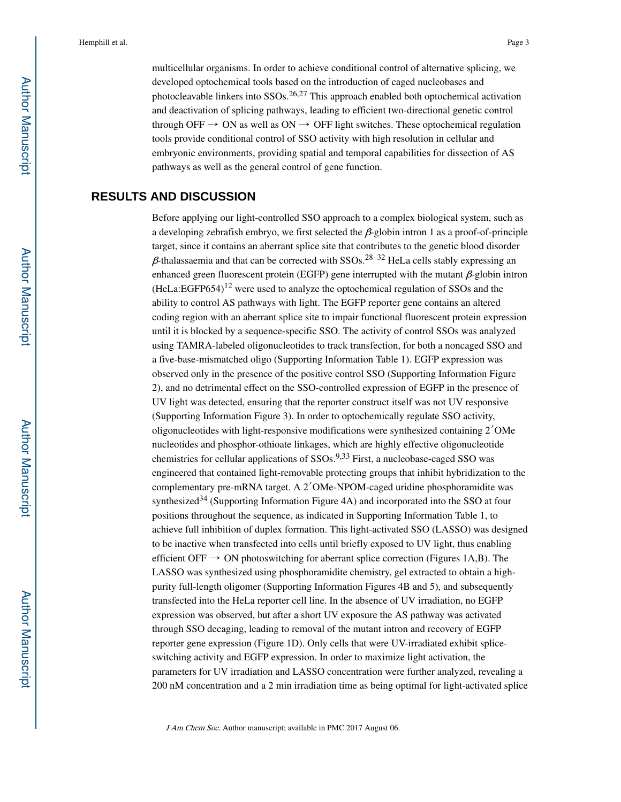multicellular organisms. In order to achieve conditional control of alternative splicing, we developed optochemical tools based on the introduction of caged nucleobases and photocleavable linkers into SSOs.26,27 This approach enabled both optochemical activation and deactivation of splicing pathways, leading to efficient two-directional genetic control through OFF  $\rightarrow$  ON as well as ON  $\rightarrow$  OFF light switches. These optochemical regulation tools provide conditional control of SSO activity with high resolution in cellular and embryonic environments, providing spatial and temporal capabilities for dissection of AS pathways as well as the general control of gene function.

## **RESULTS AND DISCUSSION**

Before applying our light-controlled SSO approach to a complex biological system, such as a developing zebrafish embryo, we first selected the  $\beta$ -globin intron 1 as a proof-of-principle target, since it contains an aberrant splice site that contributes to the genetic blood disorder  $β$ -thalassaemia and that can be corrected with SSOs.<sup>28–32</sup> HeLa cells stably expressing an enhanced green fluorescent protein (EGFP) gene interrupted with the mutant  $\beta$ -globin intron  $(Hela:EGFP654)^{12}$  were used to analyze the optochemical regulation of SSOs and the ability to control AS pathways with light. The EGFP reporter gene contains an altered coding region with an aberrant splice site to impair functional fluorescent protein expression until it is blocked by a sequence-specific SSO. The activity of control SSOs was analyzed using TAMRA-labeled oligonucleotides to track transfection, for both a noncaged SSO and a five-base-mismatched oligo (Supporting Information Table 1). EGFP expression was observed only in the presence of the positive control SSO (Supporting Information Figure 2), and no detrimental effect on the SSO-controlled expression of EGFP in the presence of UV light was detected, ensuring that the reporter construct itself was not UV responsive (Supporting Information Figure 3). In order to optochemically regulate SSO activity, oligonucleotides with light-responsive modifications were synthesized containing 2′OMe nucleotides and phosphor-othioate linkages, which are highly effective oligonucleotide chemistries for cellular applications of SSOs.9,33 First, a nucleobase-caged SSO was engineered that contained light-removable protecting groups that inhibit hybridization to the complementary pre-mRNA target. A 2′OMe-NPOM-caged uridine phosphoramidite was synthesized<sup>34</sup> (Supporting Information Figure 4A) and incorporated into the SSO at four positions throughout the sequence, as indicated in Supporting Information Table 1, to achieve full inhibition of duplex formation. This light-activated SSO (LASSO) was designed to be inactive when transfected into cells until briefly exposed to UV light, thus enabling efficient OFF  $\rightarrow$  ON photoswitching for aberrant splice correction (Figures 1A,B). The LASSO was synthesized using phosphoramidite chemistry, gel extracted to obtain a highpurity full-length oligomer (Supporting Information Figures 4B and 5), and subsequently transfected into the HeLa reporter cell line. In the absence of UV irradiation, no EGFP expression was observed, but after a short UV exposure the AS pathway was activated through SSO decaging, leading to removal of the mutant intron and recovery of EGFP reporter gene expression (Figure 1D). Only cells that were UV-irradiated exhibit spliceswitching activity and EGFP expression. In order to maximize light activation, the parameters for UV irradiation and LASSO concentration were further analyzed, revealing a 200 nM concentration and a 2 min irradiation time as being optimal for light-activated splice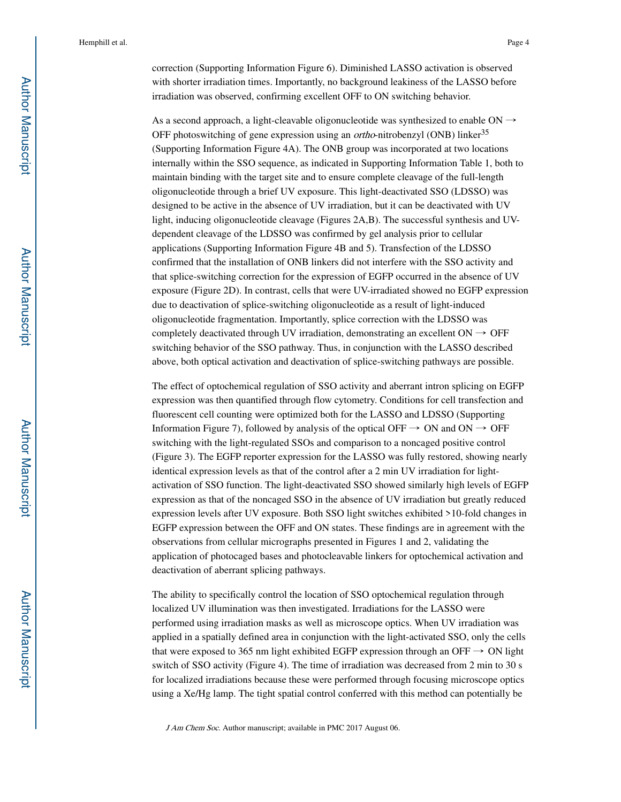correction (Supporting Information Figure 6). Diminished LASSO activation is observed with shorter irradiation times. Importantly, no background leakiness of the LASSO before irradiation was observed, confirming excellent OFF to ON switching behavior.

As a second approach, a light-cleavable oligonucleotide was synthesized to enable ON  $\rightarrow$ OFF photoswitching of gene expression using an *ortho*-nitrobenzyl (ONB) linker<sup>35</sup> (Supporting Information Figure 4A). The ONB group was incorporated at two locations internally within the SSO sequence, as indicated in Supporting Information Table 1, both to maintain binding with the target site and to ensure complete cleavage of the full-length oligonucleotide through a brief UV exposure. This light-deactivated SSO (LDSSO) was designed to be active in the absence of UV irradiation, but it can be deactivated with UV light, inducing oligonucleotide cleavage (Figures 2A,B). The successful synthesis and UVdependent cleavage of the LDSSO was confirmed by gel analysis prior to cellular applications (Supporting Information Figure 4B and 5). Transfection of the LDSSO confirmed that the installation of ONB linkers did not interfere with the SSO activity and that splice-switching correction for the expression of EGFP occurred in the absence of UV exposure (Figure 2D). In contrast, cells that were UV-irradiated showed no EGFP expression due to deactivation of splice-switching oligonucleotide as a result of light-induced oligonucleotide fragmentation. Importantly, splice correction with the LDSSO was completely deactivated through UV irradiation, demonstrating an excellent  $ON \rightarrow$  OFF switching behavior of the SSO pathway. Thus, in conjunction with the LASSO described above, both optical activation and deactivation of splice-switching pathways are possible.

The effect of optochemical regulation of SSO activity and aberrant intron splicing on EGFP expression was then quantified through flow cytometry. Conditions for cell transfection and fluorescent cell counting were optimized both for the LASSO and LDSSO (Supporting Information Figure 7), followed by analysis of the optical OFF  $\rightarrow$  ON and ON  $\rightarrow$  OFF switching with the light-regulated SSOs and comparison to a noncaged positive control (Figure 3). The EGFP reporter expression for the LASSO was fully restored, showing nearly identical expression levels as that of the control after a 2 min UV irradiation for lightactivation of SSO function. The light-deactivated SSO showed similarly high levels of EGFP expression as that of the noncaged SSO in the absence of UV irradiation but greatly reduced expression levels after UV exposure. Both SSO light switches exhibited >10-fold changes in EGFP expression between the OFF and ON states. These findings are in agreement with the observations from cellular micrographs presented in Figures 1 and 2, validating the application of photocaged bases and photocleavable linkers for optochemical activation and deactivation of aberrant splicing pathways.

The ability to specifically control the location of SSO optochemical regulation through localized UV illumination was then investigated. Irradiations for the LASSO were performed using irradiation masks as well as microscope optics. When UV irradiation was applied in a spatially defined area in conjunction with the light-activated SSO, only the cells that were exposed to 365 nm light exhibited EGFP expression through an OFF  $\rightarrow$  ON light switch of SSO activity (Figure 4). The time of irradiation was decreased from 2 min to 30 s for localized irradiations because these were performed through focusing microscope optics using a Xe/Hg lamp. The tight spatial control conferred with this method can potentially be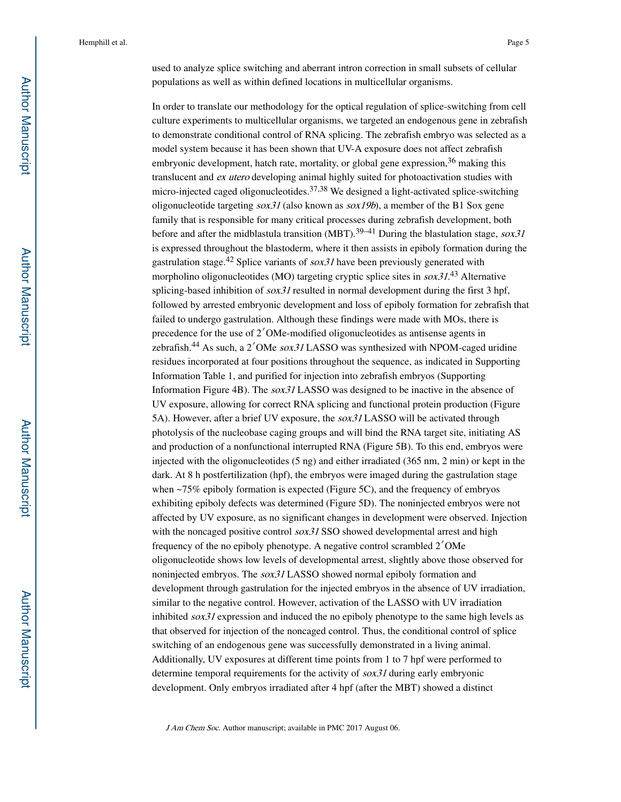used to analyze splice switching and aberrant intron correction in small subsets of cellular populations as well as within defined locations in multicellular organisms.

In order to translate our methodology for the optical regulation of splice-switching from cell culture experiments to multicellular organisms, we targeted an endogenous gene in zebrafish to demonstrate conditional control of RNA splicing. The zebrafish embryo was selected as a model system because it has been shown that UV-A exposure does not affect zebrafish embryonic development, hatch rate, mortality, or global gene expression,  $36$  making this translucent and ex utero developing animal highly suited for photoactivation studies with micro-injected caged oligonucleotides.37,38 We designed a light-activated splice-switching oligonucleotide targeting  $s\alpha x31$  (also known as  $s\alpha x19b$ ), a member of the B1 Sox gene family that is responsible for many critical processes during zebrafish development, both before and after the midblastula transition (MBT).<sup>39–41</sup> During the blastulation stage,  $sox31$ is expressed throughout the blastoderm, where it then assists in epiboly formation during the gastrulation stage.<sup>42</sup> Splice variants of  $s\alpha x31$  have been previously generated with morpholino oligonucleotides (MO) targeting cryptic splice sites in  $sox31<sup>43</sup>$  Alternative splicing-based inhibition of  $s\alpha x31$  resulted in normal development during the first 3 hpf, followed by arrested embryonic development and loss of epiboly formation for zebrafish that failed to undergo gastrulation. Although these findings were made with MOs, there is precedence for the use of 2′OMe-modified oligonucleotides as antisense agents in zebrafish.44 As such, a 2′OMe sox31 LASSO was synthesized with NPOM-caged uridine residues incorporated at four positions throughout the sequence, as indicated in Supporting Information Table 1, and purified for injection into zebrafish embryos (Supporting Information Figure 4B). The sox31 LASSO was designed to be inactive in the absence of UV exposure, allowing for correct RNA splicing and functional protein production (Figure 5A). However, after a brief UV exposure, the sox31 LASSO will be activated through photolysis of the nucleobase caging groups and will bind the RNA target site, initiating AS and production of a nonfunctional interrupted RNA (Figure 5B). To this end, embryos were injected with the oligonucleotides (5 ng) and either irradiated (365 nm, 2 min) or kept in the dark. At 8 h postfertilization (hpf), the embryos were imaged during the gastrulation stage when  $\sim$ 75% epiboly formation is expected (Figure 5C), and the frequency of embryos exhibiting epiboly defects was determined (Figure 5D). The noninjected embryos were not affected by UV exposure, as no significant changes in development were observed. Injection with the noncaged positive control  $sox31$  SSO showed developmental arrest and high frequency of the no epiboly phenotype. A negative control scrambled 2′OMe oligonucleotide shows low levels of developmental arrest, slightly above those observed for noninjected embryos. The sox31 LASSO showed normal epiboly formation and development through gastrulation for the injected embryos in the absence of UV irradiation, similar to the negative control. However, activation of the LASSO with UV irradiation inhibited  $s\alpha x31$  expression and induced the no epiboly phenotype to the same high levels as that observed for injection of the noncaged control. Thus, the conditional control of splice switching of an endogenous gene was successfully demonstrated in a living animal. Additionally, UV exposures at different time points from 1 to 7 hpf were performed to determine temporal requirements for the activity of sox31 during early embryonic development. Only embryos irradiated after 4 hpf (after the MBT) showed a distinct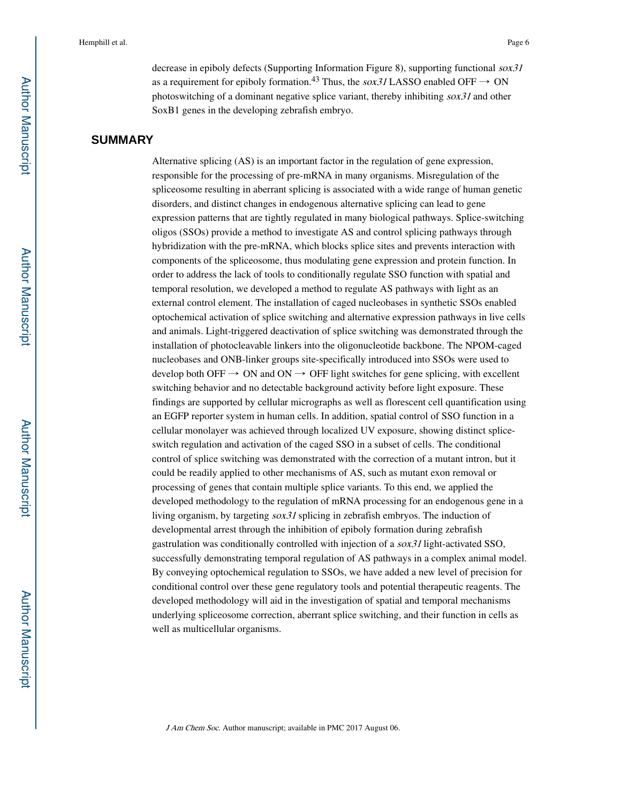decrease in epiboly defects (Supporting Information Figure 8), supporting functional  $sox31$ as a requirement for epiboly formation.<sup>43</sup> Thus, the sox31 LASSO enabled OFF  $\rightarrow$  ON photoswitching of a dominant negative splice variant, thereby inhibiting sox31 and other SoxB1 genes in the developing zebrafish embryo.

## **SUMMARY**

Alternative splicing (AS) is an important factor in the regulation of gene expression, responsible for the processing of pre-mRNA in many organisms. Misregulation of the spliceosome resulting in aberrant splicing is associated with a wide range of human genetic disorders, and distinct changes in endogenous alternative splicing can lead to gene expression patterns that are tightly regulated in many biological pathways. Splice-switching oligos (SSOs) provide a method to investigate AS and control splicing pathways through hybridization with the pre-mRNA, which blocks splice sites and prevents interaction with components of the spliceosome, thus modulating gene expression and protein function. In order to address the lack of tools to conditionally regulate SSO function with spatial and temporal resolution, we developed a method to regulate AS pathways with light as an external control element. The installation of caged nucleobases in synthetic SSOs enabled optochemical activation of splice switching and alternative expression pathways in live cells and animals. Light-triggered deactivation of splice switching was demonstrated through the installation of photocleavable linkers into the oligonucleotide backbone. The NPOM-caged nucleobases and ONB-linker groups site-specifically introduced into SSOs were used to develop both OFF  $\rightarrow$  ON and ON  $\rightarrow$  OFF light switches for gene splicing, with excellent switching behavior and no detectable background activity before light exposure. These findings are supported by cellular micrographs as well as florescent cell quantification using an EGFP reporter system in human cells. In addition, spatial control of SSO function in a cellular monolayer was achieved through localized UV exposure, showing distinct spliceswitch regulation and activation of the caged SSO in a subset of cells. The conditional control of splice switching was demonstrated with the correction of a mutant intron, but it could be readily applied to other mechanisms of AS, such as mutant exon removal or processing of genes that contain multiple splice variants. To this end, we applied the developed methodology to the regulation of mRNA processing for an endogenous gene in a living organism, by targeting sox31 splicing in zebrafish embryos. The induction of developmental arrest through the inhibition of epiboly formation during zebrafish gastrulation was conditionally controlled with injection of a sox31 light-activated SSO, successfully demonstrating temporal regulation of AS pathways in a complex animal model. By conveying optochemical regulation to SSOs, we have added a new level of precision for conditional control over these gene regulatory tools and potential therapeutic reagents. The developed methodology will aid in the investigation of spatial and temporal mechanisms underlying spliceosome correction, aberrant splice switching, and their function in cells as well as multicellular organisms.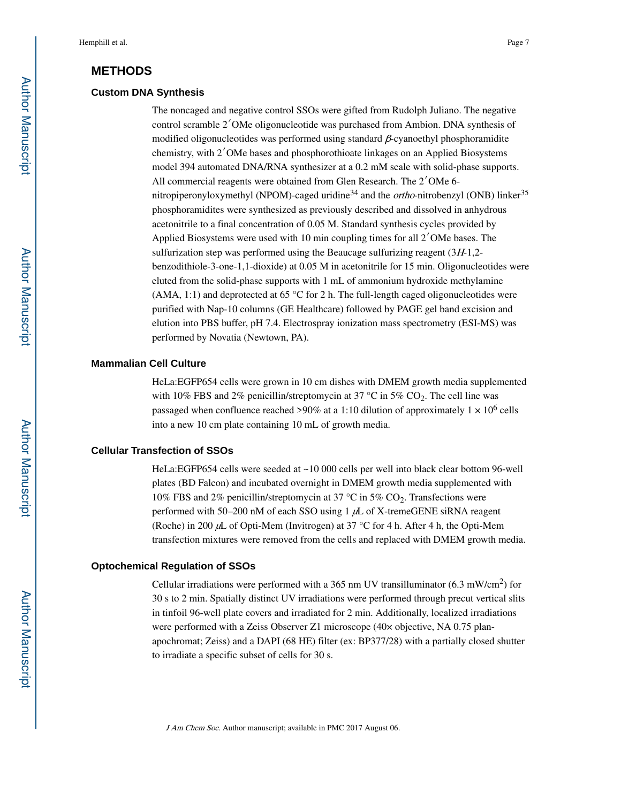## **METHODS**

#### **Custom DNA Synthesis**

The noncaged and negative control SSOs were gifted from Rudolph Juliano. The negative control scramble 2′OMe oligonucleotide was purchased from Ambion. DNA synthesis of modified oligonucleotides was performed using standard β-cyanoethyl phosphoramidite chemistry, with 2′OMe bases and phosphorothioate linkages on an Applied Biosystems model 394 automated DNA/RNA synthesizer at a 0.2 mM scale with solid-phase supports. All commercial reagents were obtained from Glen Research. The 2′OMe 6 nitropiperonyloxymethyl (NPOM)-caged uridine<sup>34</sup> and the *ortho*-nitrobenzyl (ONB) linker<sup>35</sup> phosphoramidites were synthesized as previously described and dissolved in anhydrous acetonitrile to a final concentration of 0.05 M. Standard synthesis cycles provided by Applied Biosystems were used with 10 min coupling times for all 2′OMe bases. The sulfurization step was performed using the Beaucage sulfurizing reagent  $(3H-1,2-1)$ benzodithiole-3-one-1,1-dioxide) at 0.05 M in acetonitrile for 15 min. Oligonucleotides were eluted from the solid-phase supports with 1 mL of ammonium hydroxide methylamine (AMA, 1:1) and deprotected at 65 °C for 2 h. The full-length caged oligonucleotides were purified with Nap-10 columns (GE Healthcare) followed by PAGE gel band excision and elution into PBS buffer, pH 7.4. Electrospray ionization mass spectrometry (ESI-MS) was performed by Novatia (Newtown, PA).

#### **Mammalian Cell Culture**

HeLa:EGFP654 cells were grown in 10 cm dishes with DMEM growth media supplemented with 10% FBS and 2% penicillin/streptomycin at 37 °C in 5%  $CO_2$ . The cell line was passaged when confluence reached >90% at a 1:10 dilution of approximately  $1 \times 10^6$  cells into a new 10 cm plate containing 10 mL of growth media.

#### **Cellular Transfection of SSOs**

HeLa:EGFP654 cells were seeded at ~10 000 cells per well into black clear bottom 96-well plates (BD Falcon) and incubated overnight in DMEM growth media supplemented with 10% FBS and 2% penicillin/streptomycin at 37 °C in 5%  $CO_2$ . Transfections were performed with 50–200 nM of each SSO using  $1 \mu$ L of X-tremeGENE siRNA reagent (Roche) in 200  $\mu$ L of Opti-Mem (Invitrogen) at 37 °C for 4 h. After 4 h, the Opti-Mem transfection mixtures were removed from the cells and replaced with DMEM growth media.

#### **Optochemical Regulation of SSOs**

Cellular irradiations were performed with a 365 nm UV transilluminator  $(6.3 \text{ mW/cm}^2)$  for 30 s to 2 min. Spatially distinct UV irradiations were performed through precut vertical slits in tinfoil 96-well plate covers and irradiated for 2 min. Additionally, localized irradiations were performed with a Zeiss Observer Z1 microscope (40× objective, NA 0.75 planapochromat; Zeiss) and a DAPI (68 HE) filter (ex: BP377/28) with a partially closed shutter to irradiate a specific subset of cells for 30 s.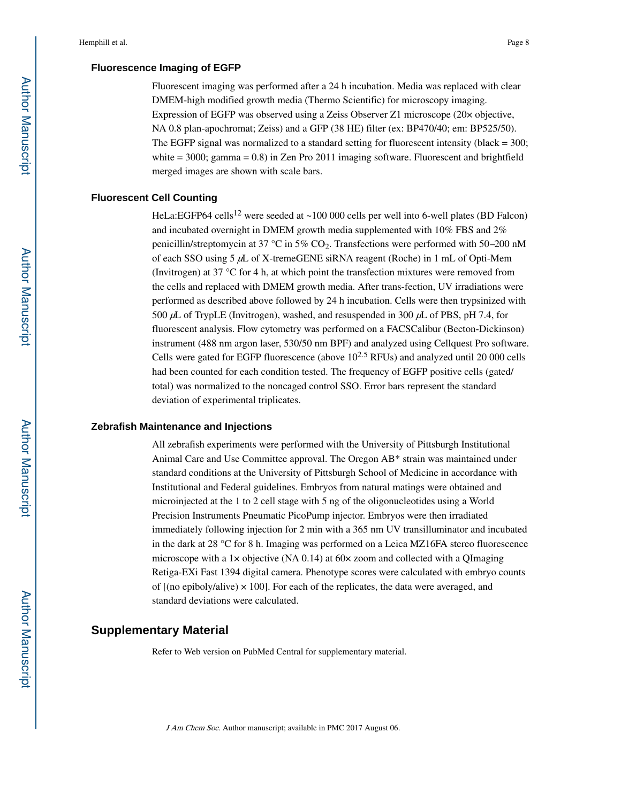#### **Fluorescence Imaging of EGFP**

Fluorescent imaging was performed after a 24 h incubation. Media was replaced with clear DMEM-high modified growth media (Thermo Scientific) for microscopy imaging. Expression of EGFP was observed using a Zeiss Observer Z1 microscope (20× objective, NA 0.8 plan-apochromat; Zeiss) and a GFP (38 HE) filter (ex: BP470/40; em: BP525/50). The EGFP signal was normalized to a standard setting for fluorescent intensity (black  $=$  300; white  $=$  3000; gamma  $=$  0.8) in Zen Pro 2011 imaging software. Fluorescent and brightfield merged images are shown with scale bars.

#### **Fluorescent Cell Counting**

HeLa:EGFP64 cells<sup>12</sup> were seeded at  $\sim$ 100 000 cells per well into 6-well plates (BD Falcon) and incubated overnight in DMEM growth media supplemented with 10% FBS and 2% penicillin/streptomycin at 37 °C in 5%  $CO<sub>2</sub>$ . Transfections were performed with 50–200 nM of each SSO using 5 µL of X-tremeGENE siRNA reagent (Roche) in 1 mL of Opti-Mem (Invitrogen) at 37 °C for 4 h, at which point the transfection mixtures were removed from the cells and replaced with DMEM growth media. After trans-fection, UV irradiations were performed as described above followed by 24 h incubation. Cells were then trypsinized with 500  $\mu$ L of TrypLE (Invitrogen), washed, and resuspended in 300  $\mu$ L of PBS, pH 7.4, for fluorescent analysis. Flow cytometry was performed on a FACSCalibur (Becton-Dickinson) instrument (488 nm argon laser, 530/50 nm BPF) and analyzed using Cellquest Pro software. Cells were gated for EGFP fluorescence (above  $10^{2.5}$  RFUs) and analyzed until 20 000 cells had been counted for each condition tested. The frequency of EGFP positive cells (gated/ total) was normalized to the noncaged control SSO. Error bars represent the standard deviation of experimental triplicates.

#### **Zebrafish Maintenance and Injections**

All zebrafish experiments were performed with the University of Pittsburgh Institutional Animal Care and Use Committee approval. The Oregon AB\* strain was maintained under standard conditions at the University of Pittsburgh School of Medicine in accordance with Institutional and Federal guidelines. Embryos from natural matings were obtained and microinjected at the 1 to 2 cell stage with 5 ng of the oligonucleotides using a World Precision Instruments Pneumatic PicoPump injector. Embryos were then irradiated immediately following injection for 2 min with a 365 nm UV transilluminator and incubated in the dark at 28 °C for 8 h. Imaging was performed on a Leica MZ16FA stereo fluorescence microscope with a  $1 \times$  objective (NA 0.14) at 60 $\times$  zoom and collected with a QImaging Retiga-EXi Fast 1394 digital camera. Phenotype scores were calculated with embryo counts of  $[(no\;epiboly/alive) \times 100]$ . For each of the replicates, the data were averaged, and standard deviations were calculated.

#### **Supplementary Material**

Refer to Web version on PubMed Central for supplementary material.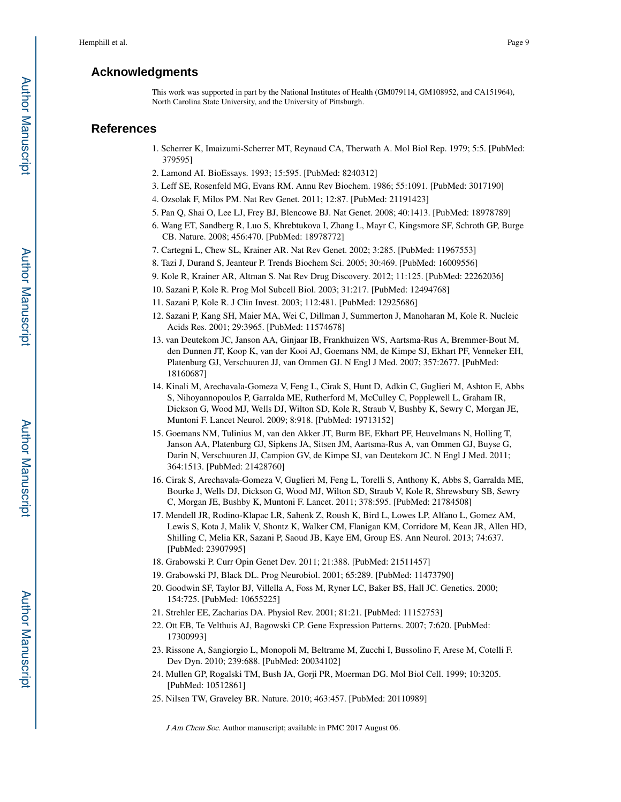## **Acknowledgments**

This work was supported in part by the National Institutes of Health (GM079114, GM108952, and CA151964), North Carolina State University, and the University of Pittsburgh.

#### **References**

- 1. Scherrer K, Imaizumi-Scherrer MT, Reynaud CA, Therwath A. Mol Biol Rep. 1979; 5:5. [PubMed: 379595]
- 2. Lamond AI. BioEssays. 1993; 15:595. [PubMed: 8240312]
- 3. Leff SE, Rosenfeld MG, Evans RM. Annu Rev Biochem. 1986; 55:1091. [PubMed: 3017190]
- 4. Ozsolak F, Milos PM. Nat Rev Genet. 2011; 12:87. [PubMed: 21191423]
- 5. Pan Q, Shai O, Lee LJ, Frey BJ, Blencowe BJ. Nat Genet. 2008; 40:1413. [PubMed: 18978789]
- 6. Wang ET, Sandberg R, Luo S, Khrebtukova I, Zhang L, Mayr C, Kingsmore SF, Schroth GP, Burge CB. Nature. 2008; 456:470. [PubMed: 18978772]
- 7. Cartegni L, Chew SL, Krainer AR. Nat Rev Genet. 2002; 3:285. [PubMed: 11967553]
- 8. Tazi J, Durand S, Jeanteur P. Trends Biochem Sci. 2005; 30:469. [PubMed: 16009556]
- 9. Kole R, Krainer AR, Altman S. Nat Rev Drug Discovery. 2012; 11:125. [PubMed: 22262036]
- 10. Sazani P, Kole R. Prog Mol Subcell Biol. 2003; 31:217. [PubMed: 12494768]
- 11. Sazani P, Kole R. J Clin Invest. 2003; 112:481. [PubMed: 12925686]
- 12. Sazani P, Kang SH, Maier MA, Wei C, Dillman J, Summerton J, Manoharan M, Kole R. Nucleic Acids Res. 2001; 29:3965. [PubMed: 11574678]
- 13. van Deutekom JC, Janson AA, Ginjaar IB, Frankhuizen WS, Aartsma-Rus A, Bremmer-Bout M, den Dunnen JT, Koop K, van der Kooi AJ, Goemans NM, de Kimpe SJ, Ekhart PF, Venneker EH, Platenburg GJ, Verschuuren JJ, van Ommen GJ. N Engl J Med. 2007; 357:2677. [PubMed: 18160687]
- 14. Kinali M, Arechavala-Gomeza V, Feng L, Cirak S, Hunt D, Adkin C, Guglieri M, Ashton E, Abbs S, Nihoyannopoulos P, Garralda ME, Rutherford M, McCulley C, Popplewell L, Graham IR, Dickson G, Wood MJ, Wells DJ, Wilton SD, Kole R, Straub V, Bushby K, Sewry C, Morgan JE, Muntoni F. Lancet Neurol. 2009; 8:918. [PubMed: 19713152]
- 15. Goemans NM, Tulinius M, van den Akker JT, Burm BE, Ekhart PF, Heuvelmans N, Holling T, Janson AA, Platenburg GJ, Sipkens JA, Sitsen JM, Aartsma-Rus A, van Ommen GJ, Buyse G, Darin N, Verschuuren JJ, Campion GV, de Kimpe SJ, van Deutekom JC. N Engl J Med. 2011; 364:1513. [PubMed: 21428760]
- 16. Cirak S, Arechavala-Gomeza V, Guglieri M, Feng L, Torelli S, Anthony K, Abbs S, Garralda ME, Bourke J, Wells DJ, Dickson G, Wood MJ, Wilton SD, Straub V, Kole R, Shrewsbury SB, Sewry C, Morgan JE, Bushby K, Muntoni F. Lancet. 2011; 378:595. [PubMed: 21784508]
- 17. Mendell JR, Rodino-Klapac LR, Sahenk Z, Roush K, Bird L, Lowes LP, Alfano L, Gomez AM, Lewis S, Kota J, Malik V, Shontz K, Walker CM, Flanigan KM, Corridore M, Kean JR, Allen HD, Shilling C, Melia KR, Sazani P, Saoud JB, Kaye EM, Group ES. Ann Neurol. 2013; 74:637. [PubMed: 23907995]
- 18. Grabowski P. Curr Opin Genet Dev. 2011; 21:388. [PubMed: 21511457]
- 19. Grabowski PJ, Black DL. Prog Neurobiol. 2001; 65:289. [PubMed: 11473790]
- 20. Goodwin SF, Taylor BJ, Villella A, Foss M, Ryner LC, Baker BS, Hall JC. Genetics. 2000; 154:725. [PubMed: 10655225]
- 21. Strehler EE, Zacharias DA. Physiol Rev. 2001; 81:21. [PubMed: 11152753]
- 22. Ott EB, Te Velthuis AJ, Bagowski CP. Gene Expression Patterns. 2007; 7:620. [PubMed: 17300993]
- 23. Rissone A, Sangiorgio L, Monopoli M, Beltrame M, Zucchi I, Bussolino F, Arese M, Cotelli F. Dev Dyn. 2010; 239:688. [PubMed: 20034102]
- 24. Mullen GP, Rogalski TM, Bush JA, Gorji PR, Moerman DG. Mol Biol Cell. 1999; 10:3205. [PubMed: 10512861]
- 25. Nilsen TW, Graveley BR. Nature. 2010; 463:457. [PubMed: 20110989]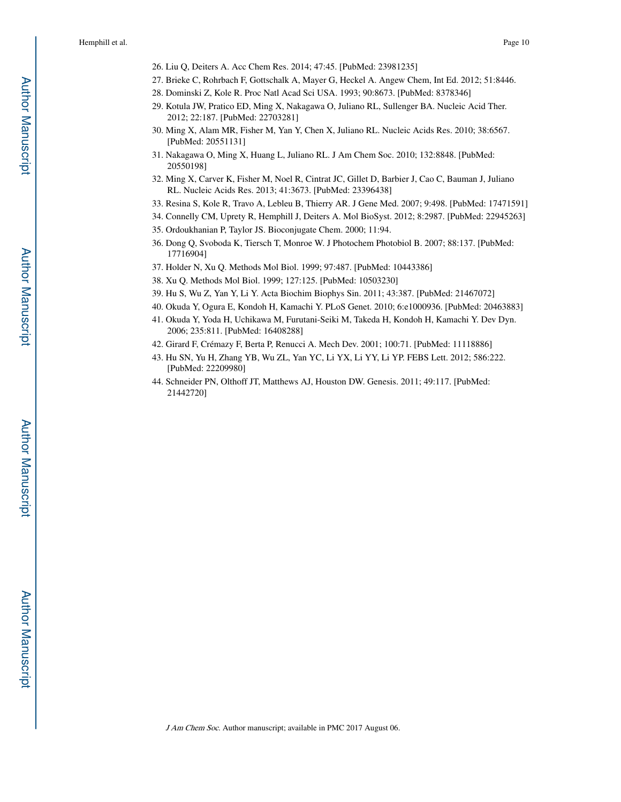- 26. Liu Q, Deiters A. Acc Chem Res. 2014; 47:45. [PubMed: 23981235]
- 27. Brieke C, Rohrbach F, Gottschalk A, Mayer G, Heckel A. Angew Chem, Int Ed. 2012; 51:8446.
- 28. Dominski Z, Kole R. Proc Natl Acad Sci USA. 1993; 90:8673. [PubMed: 8378346]
- 29. Kotula JW, Pratico ED, Ming X, Nakagawa O, Juliano RL, Sullenger BA. Nucleic Acid Ther. 2012; 22:187. [PubMed: 22703281]
- 30. Ming X, Alam MR, Fisher M, Yan Y, Chen X, Juliano RL. Nucleic Acids Res. 2010; 38:6567. [PubMed: 20551131]
- 31. Nakagawa O, Ming X, Huang L, Juliano RL. J Am Chem Soc. 2010; 132:8848. [PubMed: 20550198]
- 32. Ming X, Carver K, Fisher M, Noel R, Cintrat JC, Gillet D, Barbier J, Cao C, Bauman J, Juliano RL. Nucleic Acids Res. 2013; 41:3673. [PubMed: 23396438]
- 33. Resina S, Kole R, Travo A, Lebleu B, Thierry AR. J Gene Med. 2007; 9:498. [PubMed: 17471591]
- 34. Connelly CM, Uprety R, Hemphill J, Deiters A. Mol BioSyst. 2012; 8:2987. [PubMed: 22945263]
- 35. Ordoukhanian P, Taylor JS. Bioconjugate Chem. 2000; 11:94.
- 36. Dong Q, Svoboda K, Tiersch T, Monroe W. J Photochem Photobiol B. 2007; 88:137. [PubMed: 17716904]
- 37. Holder N, Xu Q. Methods Mol Biol. 1999; 97:487. [PubMed: 10443386]
- 38. Xu Q. Methods Mol Biol. 1999; 127:125. [PubMed: 10503230]
- 39. Hu S, Wu Z, Yan Y, Li Y. Acta Biochim Biophys Sin. 2011; 43:387. [PubMed: 21467072]
- 40. Okuda Y, Ogura E, Kondoh H, Kamachi Y. PLoS Genet. 2010; 6:e1000936. [PubMed: 20463883]
- 41. Okuda Y, Yoda H, Uchikawa M, Furutani-Seiki M, Takeda H, Kondoh H, Kamachi Y. Dev Dyn. 2006; 235:811. [PubMed: 16408288]
- 42. Girard F, Crémazy F, Berta P, Renucci A. Mech Dev. 2001; 100:71. [PubMed: 11118886]
- 43. Hu SN, Yu H, Zhang YB, Wu ZL, Yan YC, Li YX, Li YY, Li YP. FEBS Lett. 2012; 586:222. [PubMed: 22209980]
- 44. Schneider PN, Olthoff JT, Matthews AJ, Houston DW. Genesis. 2011; 49:117. [PubMed: 21442720]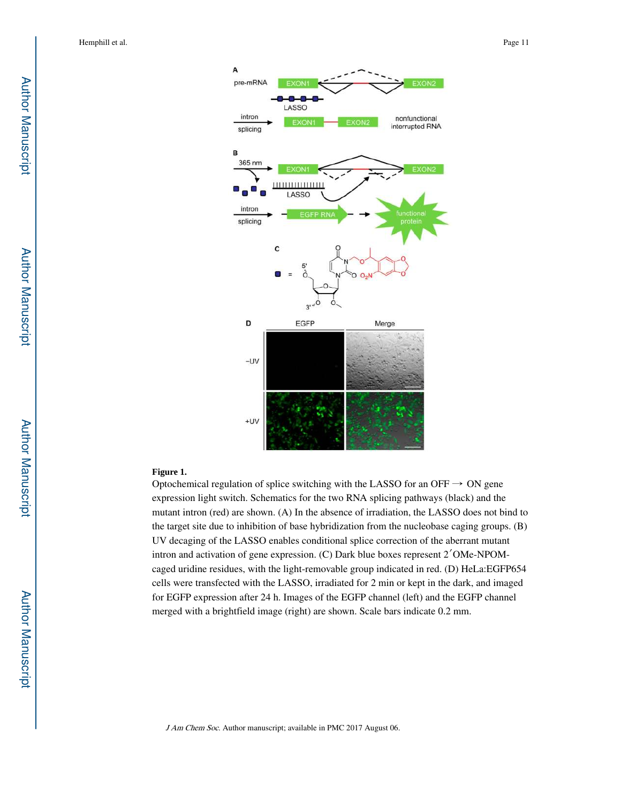

#### **Figure 1.**

Optochemical regulation of splice switching with the LASSO for an OFF  $\rightarrow$  ON gene expression light switch. Schematics for the two RNA splicing pathways (black) and the mutant intron (red) are shown. (A) In the absence of irradiation, the LASSO does not bind to the target site due to inhibition of base hybridization from the nucleobase caging groups. (B) UV decaging of the LASSO enables conditional splice correction of the aberrant mutant intron and activation of gene expression. (C) Dark blue boxes represent 2′OMe-NPOMcaged uridine residues, with the light-removable group indicated in red. (D) HeLa:EGFP654 cells were transfected with the LASSO, irradiated for 2 min or kept in the dark, and imaged for EGFP expression after 24 h. Images of the EGFP channel (left) and the EGFP channel merged with a brightfield image (right) are shown. Scale bars indicate 0.2 mm.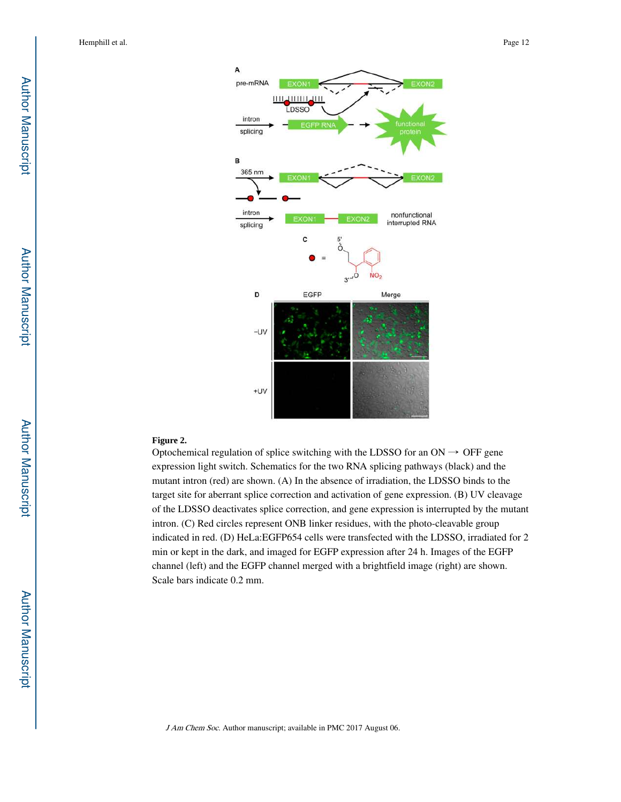

#### **Figure 2.**

Optochemical regulation of splice switching with the LDSSO for an  $ON \rightarrow$  OFF gene expression light switch. Schematics for the two RNA splicing pathways (black) and the mutant intron (red) are shown. (A) In the absence of irradiation, the LDSSO binds to the target site for aberrant splice correction and activation of gene expression. (B) UV cleavage of the LDSSO deactivates splice correction, and gene expression is interrupted by the mutant intron. (C) Red circles represent ONB linker residues, with the photo-cleavable group indicated in red. (D) HeLa:EGFP654 cells were transfected with the LDSSO, irradiated for 2 min or kept in the dark, and imaged for EGFP expression after 24 h. Images of the EGFP channel (left) and the EGFP channel merged with a brightfield image (right) are shown. Scale bars indicate 0.2 mm.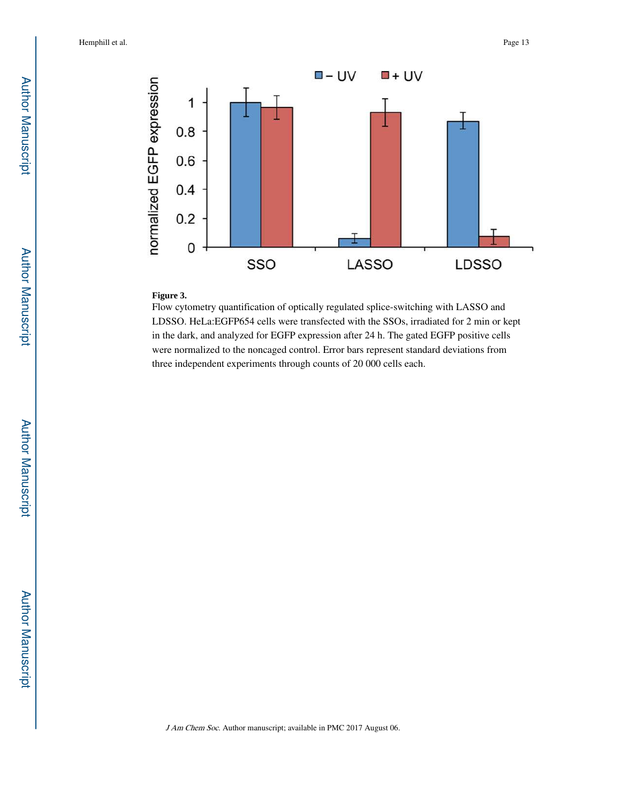

#### **Figure 3.**

Flow cytometry quantification of optically regulated splice-switching with LASSO and LDSSO. HeLa:EGFP654 cells were transfected with the SSOs, irradiated for 2 min or kept in the dark, and analyzed for EGFP expression after 24 h. The gated EGFP positive cells were normalized to the noncaged control. Error bars represent standard deviations from three independent experiments through counts of 20 000 cells each.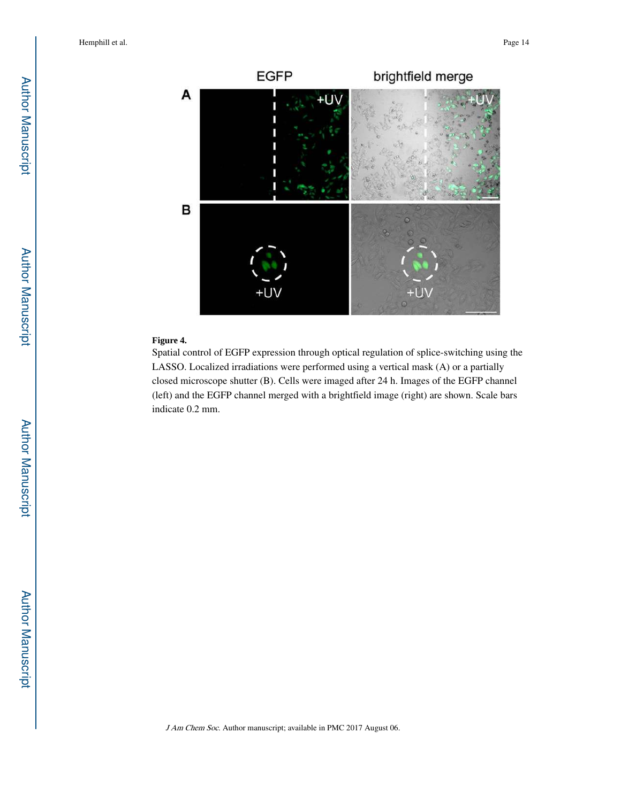

#### **Figure 4.**

Spatial control of EGFP expression through optical regulation of splice-switching using the LASSO. Localized irradiations were performed using a vertical mask (A) or a partially closed microscope shutter (B). Cells were imaged after 24 h. Images of the EGFP channel (left) and the EGFP channel merged with a brightfield image (right) are shown. Scale bars indicate 0.2 mm.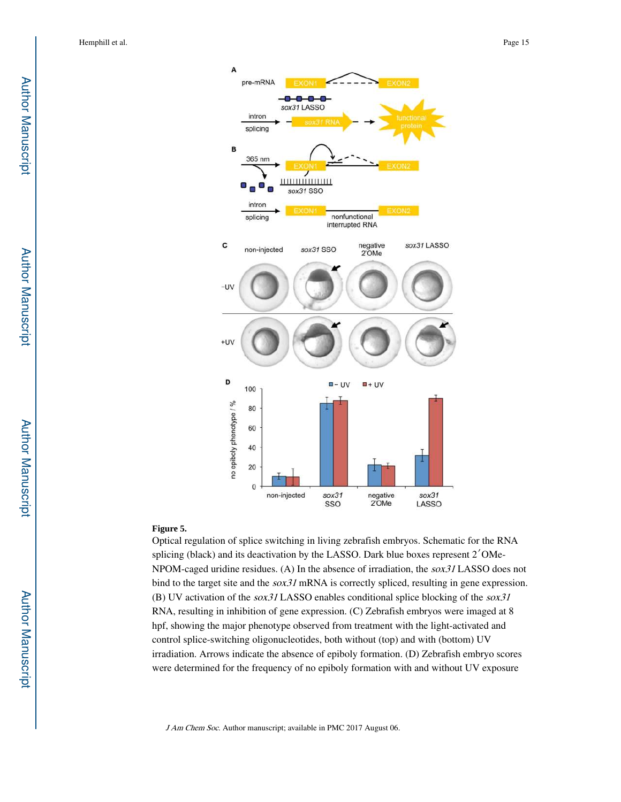

#### **Figure 5.**

Optical regulation of splice switching in living zebrafish embryos. Schematic for the RNA splicing (black) and its deactivation by the LASSO. Dark blue boxes represent 2′OMe-NPOM-caged uridine residues. (A) In the absence of irradiation, the sox31 LASSO does not bind to the target site and the *sox31* mRNA is correctly spliced, resulting in gene expression. (B) UV activation of the sox31 LASSO enables conditional splice blocking of the sox31 RNA, resulting in inhibition of gene expression. (C) Zebrafish embryos were imaged at 8 hpf, showing the major phenotype observed from treatment with the light-activated and control splice-switching oligonucleotides, both without (top) and with (bottom) UV irradiation. Arrows indicate the absence of epiboly formation. (D) Zebrafish embryo scores were determined for the frequency of no epiboly formation with and without UV exposure